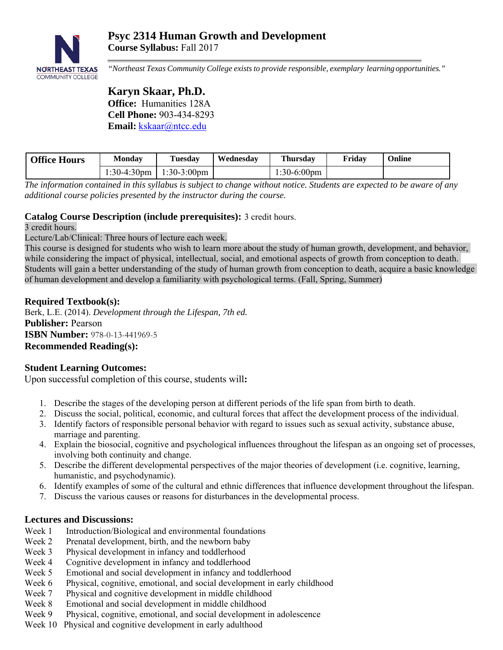

*"Northeast Texas Community College exists to provide responsible, exemplary learning opportunities."* 

# **Karyn Skaar, Ph.D. Office:** Humanities 128A **Cell Phone:** 903-434-8293 **Email:** kskaar@ntcc.edu

| <b>Office Hours</b> | Mondav | Tuesdav                   | Wednesday | <b>Thursday</b>       | Friday | Online |
|---------------------|--------|---------------------------|-----------|-----------------------|--------|--------|
|                     |        | 1:30-4:30pm   1:30-3:00pm |           | $1:30-6:00 \text{pm}$ |        |        |

*The information contained in this syllabus is subject to change without notice. Students are expected to be aware of any additional course policies presented by the instructor during the course.* 

# **Catalog Course Description (include prerequisites):** 3 credit hours.

3 credit hours.

Lecture/Lab/Clinical: Three hours of lecture each week.

This course is designed for students who wish to learn more about the study of human growth, development, and behavior, while considering the impact of physical, intellectual, social, and emotional aspects of growth from conception to death. Students will gain a better understanding of the study of human growth from conception to death, acquire a basic knowledge of human development and develop a familiarity with psychological terms. (Fall, Spring, Summer)

# **Required Textbook(s):**

Berk, L.E. (2014). *Development through the Lifespan, 7th ed.*  **Publisher:** Pearson **ISBN Number:** 978-0-13-441969-5 **Recommended Reading(s):**

# **Student Learning Outcomes:**

Upon successful completion of this course, students will**:** 

- 1. Describe the stages of the developing person at different periods of the life span from birth to death.
- 2. Discuss the social, political, economic, and cultural forces that affect the development process of the individual.
- 3. Identify factors of responsible personal behavior with regard to issues such as sexual activity, substance abuse, marriage and parenting.
- 4. Explain the biosocial, cognitive and psychological influences throughout the lifespan as an ongoing set of processes, involving both continuity and change.
- 5. Describe the different developmental perspectives of the major theories of development (i.e. cognitive, learning, humanistic, and psychodynamic).
- 6. Identify examples of some of the cultural and ethnic differences that influence development throughout the lifespan.
- 7. Discuss the various causes or reasons for disturbances in the developmental process.

# **Lectures and Discussions:**

- Week 1 Introduction/Biological and environmental foundations
- Week 2 Prenatal development, birth, and the newborn baby
- Week 3 Physical development in infancy and toddlerhood
- Week 4 Cognitive development in infancy and toddlerhood
- Week 5 Emotional and social development in infancy and toddlerhood
- Week 6 Physical, cognitive, emotional, and social development in early childhood
- Week 7 Physical and cognitive development in middle childhood
- Week 8 Emotional and social development in middle childhood
- Week 9 Physical, cognitive, emotional, and social development in adolescence
- Week 10 Physical and cognitive development in early adulthood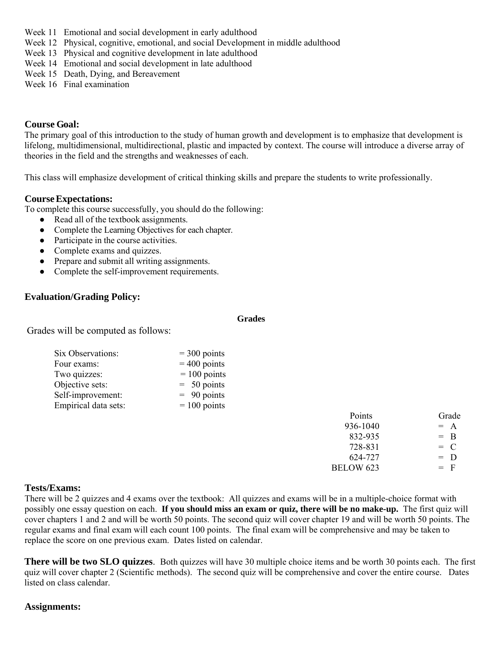- Week 11 Emotional and social development in early adulthood
- Week 12 Physical, cognitive, emotional, and social Development in middle adulthood
- Week 13 Physical and cognitive development in late adulthood
- Week 14 Emotional and social development in late adulthood
- Week 15 Death, Dying, and Bereavement
- Week 16 Final examination

#### **Course Goal:**

The primary goal of this introduction to the study of human growth and development is to emphasize that development is lifelong, multidimensional, multidirectional, plastic and impacted by context. The course will introduce a diverse array of theories in the field and the strengths and weaknesses of each.

This class will emphasize development of critical thinking skills and prepare the students to write professionally.

### **Course Expectations:**

To complete this course successfully, you should do the following:

- Read all of the textbook assignments.
- Complete the Learning Objectives for each chapter.
- Participate in the course activities.
- Complete exams and quizzes.
- Prepare and submit all writing assignments.
- Complete the self-improvement requirements.

### **Evaluation/Grading Policy:**

**Grades** 

Grades will be computed as follows:

| $=$ 300 points |
|----------------|
| $= 400$ points |
| $= 100$ points |
| $= 50$ points  |
| $= 90$ points  |
| $= 100$ points |
|                |

| Points           | Grade |
|------------------|-------|
| 936-1040         | $= A$ |
| 832-935          | $=$ B |
| 728-831          | $= C$ |
| 624-727          | $= D$ |
| <b>BELOW 623</b> | $=$ F |
|                  |       |

#### **Tests/Exams:**

There will be 2 quizzes and 4 exams over the textbook: All quizzes and exams will be in a multiple-choice format with possibly one essay question on each. **If you should miss an exam or quiz, there will be no make-up.** The first quiz will cover chapters 1 and 2 and will be worth 50 points. The second quiz will cover chapter 19 and will be worth 50 points. The regular exams and final exam will each count 100 points. The final exam will be comprehensive and may be taken to replace the score on one previous exam. Dates listed on calendar.

**There will be two SLO quizzes**. Both quizzes will have 30 multiple choice items and be worth 30 points each. The first quiz will cover chapter 2 (Scientific methods). The second quiz will be comprehensive and cover the entire course. Dates listed on class calendar.

#### **Assignments:**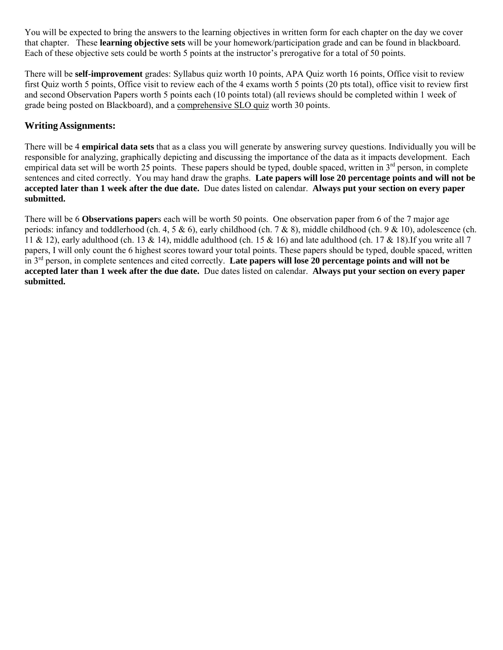You will be expected to bring the answers to the learning objectives in written form for each chapter on the day we cover that chapter. These **learning objective sets** will be your homework/participation grade and can be found in blackboard. Each of these objective sets could be worth 5 points at the instructor's prerogative for a total of 50 points.

There will be **self-improvement** grades: Syllabus quiz worth 10 points, APA Quiz worth 16 points, Office visit to review first Quiz worth 5 points, Office visit to review each of the 4 exams worth 5 points (20 pts total), office visit to review first and second Observation Papers worth 5 points each (10 points total) (all reviews should be completed within 1 week of grade being posted on Blackboard), and a comprehensive SLO quiz worth 30 points.

# **Writing Assignments:**

There will be 4 **empirical data sets** that as a class you will generate by answering survey questions. Individually you will be responsible for analyzing, graphically depicting and discussing the importance of the data as it impacts development. Each empirical data set will be worth 25 points. These papers should be typed, double spaced, written in 3<sup>rd</sup> person, in complete sentences and cited correctly. You may hand draw the graphs. **Late papers will lose 20 percentage points and will not be accepted later than 1 week after the due date.** Due dates listed on calendar. **Always put your section on every paper submitted.** 

There will be 6 **Observations paper**s each will be worth 50 points. One observation paper from 6 of the 7 major age periods: infancy and toddlerhood (ch. 4, 5 & 6), early childhood (ch. 7 & 8), middle childhood (ch. 9 & 10), adolescence (ch. 11 & 12), early adulthood (ch. 13 & 14), middle adulthood (ch. 15 & 16) and late adulthood (ch. 17 & 18). If you write all 7 papers, I will only count the 6 highest scores toward your total points. These papers should be typed, double spaced, written in 3rd person, in complete sentences and cited correctly. **Late papers will lose 20 percentage points and will not be accepted later than 1 week after the due date.** Due dates listed on calendar. **Always put your section on every paper submitted.**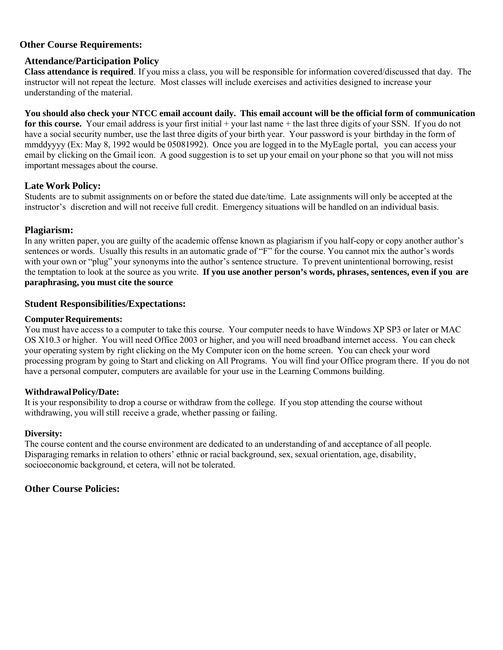## **Other Course Requirements:**

## **Attendance/Participation Policy**

**Class attendance is required**. If you miss a class, you will be responsible for information covered/discussed that day. The instructor will not repeat the lecture. Most classes will include exercises and activities designed to increase your understanding of the material.

**You should also check your NTCC email account daily. This email account will be the official form of communication for this course.** Your email address is your first initial + your last name + the last three digits of your SSN. If you do not have a social security number, use the last three digits of your birth year. Your password is your birthday in the form of mmddyyyy (Ex: May 8, 1992 would be 05081992). Once you are logged in to the MyEagle portal, you can access your email by clicking on the Gmail icon. A good suggestion is to set up your email on your phone so that you will not miss important messages about the course.

### **Late Work Policy:**

Students are to submit assignments on or before the stated due date/time. Late assignments will only be accepted at the instructor's discretion and will not receive full credit. Emergency situations will be handled on an individual basis.

### **Plagiarism:**

In any written paper, you are guilty of the academic offense known as plagiarism if you half-copy or copy another author's sentences or words. Usually this results in an automatic grade of "F" for the course. You cannot mix the author's words with your own or "plug" your synonyms into the author's sentence structure. To prevent unintentional borrowing, resist the temptation to look at the source as you write. **If you use another person's words, phrases, sentences, even if you are paraphrasing, you must cite the source**

### **Student Responsibilities/Expectations:**

#### **Computer Requirements:**

You must have access to a computer to take this course. Your computer needs to have Windows XP SP3 or later or MAC OS X10.3 or higher. You will need Office 2003 or higher, and you will need broadband internet access. You can check your operating system by right clicking on the My Computer icon on the home screen. You can check your word processing program by going to Start and clicking on All Programs. You will find your Office program there. If you do not have a personal computer, computers are available for your use in the Learning Commons building.

#### **Withdrawal Policy/Date:**

It is your responsibility to drop a course or withdraw from the college. If you stop attending the course without withdrawing, you will still receive a grade, whether passing or failing.

#### **Diversity:**

The course content and the course environment are dedicated to an understanding of and acceptance of all people. Disparaging remarks in relation to others' ethnic or racial background, sex, sexual orientation, age, disability, socioeconomic background, et cetera, will not be tolerated.

## **Other Course Policies:**